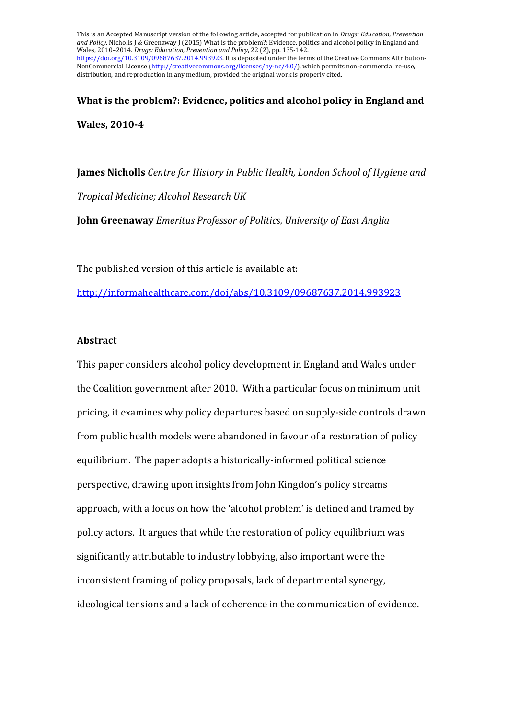This is an Accepted Manuscript version of the following article, accepted for publication in *Drugs: Education, Prevention and Policy*. Nicholls J & Greenaway J (2015) What is the problem?: Evidence, politics and alcohol policy in England and Wales, 2010–2014. *Drugs: Education, Prevention and Policy*, 22 (2), pp. 135-142. [https://doi.org/10.3109/09687637.2014.993923.](https://doi.org/10.3109/09687637.2014.993923) It is deposited under the terms of the Creative Commons Attribution-NonCommercial License [\(http://creativecommons.org/licenses/by-nc/4.0/\)](http://creativecommons.org/licenses/by-nc/4.0/), which permits non-commercial re-use, distribution, and reproduction in any medium, provided the original work is properly cited.

**What is the problem?: Evidence, politics and alcohol policy in England and Wales, 2010-4**

**James Nicholls** *Centre for History in Public Health, London School of Hygiene and* 

*Tropical Medicine; Alcohol Research UK*

**John Greenaway** *Emeritus Professor of Politics, University of East Anglia*

The published version of this article is available at:

<http://informahealthcare.com/doi/abs/10.3109/09687637.2014.993923>

## **Abstract**

This paper considers alcohol policy development in England and Wales under the Coalition government after 2010. With a particular focus on minimum unit pricing, it examines why policy departures based on supply-side controls drawn from public health models were abandoned in favour of a restoration of policy equilibrium. The paper adopts a historically-informed political science perspective, drawing upon insights from John Kingdon's policy streams approach, with a focus on how the 'alcohol problem' is defined and framed by policy actors. It argues that while the restoration of policy equilibrium was significantly attributable to industry lobbying, also important were the inconsistent framing of policy proposals, lack of departmental synergy, ideological tensions and a lack of coherence in the communication of evidence.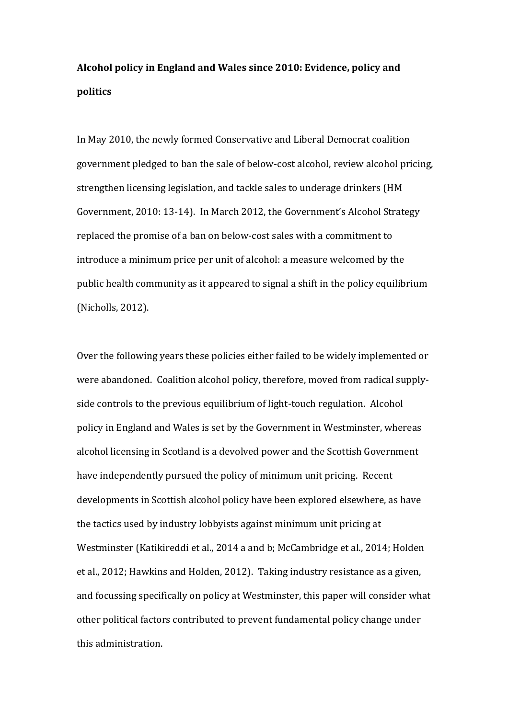# **Alcohol policy in England and Wales since 2010: Evidence, policy and politics**

In May 2010, the newly formed Conservative and Liberal Democrat coalition government pledged to ban the sale of below-cost alcohol, review alcohol pricing, strengthen licensing legislation, and tackle sales to underage drinkers (HM Government, 2010: 13-14). In March 2012, the Government's Alcohol Strategy replaced the promise of a ban on below-cost sales with a commitment to introduce a minimum price per unit of alcohol: a measure welcomed by the public health community as it appeared to signal a shift in the policy equilibrium (Nicholls, 2012).

Over the following years these policies either failed to be widely implemented or were abandoned. Coalition alcohol policy, therefore, moved from radical supplyside controls to the previous equilibrium of light-touch regulation. Alcohol policy in England and Wales is set by the Government in Westminster, whereas alcohol licensing in Scotland is a devolved power and the Scottish Government have independently pursued the policy of minimum unit pricing. Recent developments in Scottish alcohol policy have been explored elsewhere, as have the tactics used by industry lobbyists against minimum unit pricing at Westminster (Katikireddi et al., 2014 a and b; McCambridge et al., 2014; Holden et al., 2012; Hawkins and Holden, 2012). Taking industry resistance as a given, and focussing specifically on policy at Westminster, this paper will consider what other political factors contributed to prevent fundamental policy change under this administration.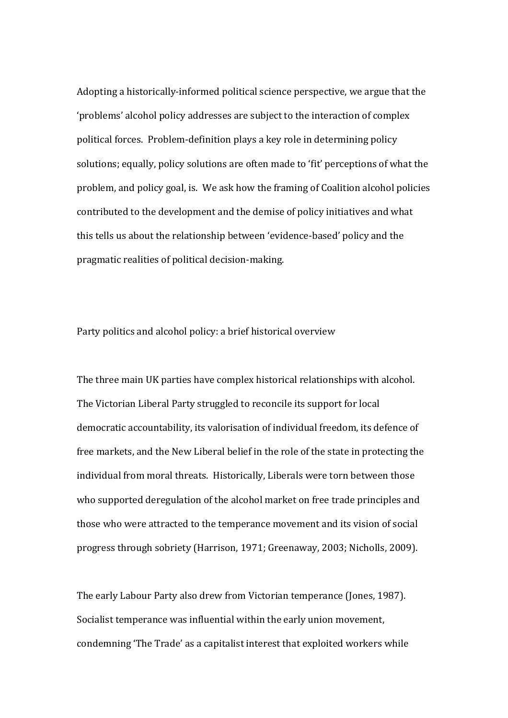Adopting a historically-informed political science perspective, we argue that the 'problems' alcohol policy addresses are subject to the interaction of complex political forces. Problem-definition plays a key role in determining policy solutions; equally, policy solutions are often made to 'fit' perceptions of what the problem, and policy goal, is. We ask how the framing of Coalition alcohol policies contributed to the development and the demise of policy initiatives and what this tells us about the relationship between 'evidence-based' policy and the pragmatic realities of political decision-making.

Party politics and alcohol policy: a brief historical overview

The three main UK parties have complex historical relationships with alcohol. The Victorian Liberal Party struggled to reconcile its support for local democratic accountability, its valorisation of individual freedom, its defence of free markets, and the New Liberal belief in the role of the state in protecting the individual from moral threats. Historically, Liberals were torn between those who supported deregulation of the alcohol market on free trade principles and those who were attracted to the temperance movement and its vision of social progress through sobriety (Harrison, 1971; Greenaway, 2003; Nicholls, 2009).

The early Labour Party also drew from Victorian temperance (Jones, 1987). Socialist temperance was influential within the early union movement, condemning 'The Trade' as a capitalist interest that exploited workers while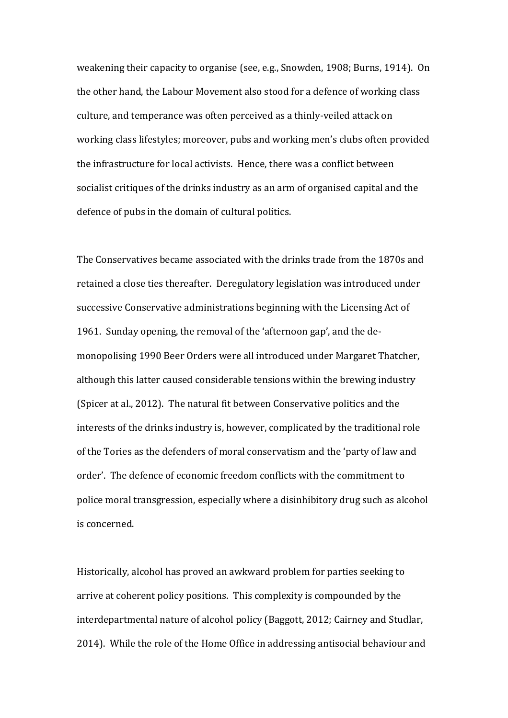weakening their capacity to organise (see, e.g., Snowden, 1908; Burns, 1914). On the other hand, the Labour Movement also stood for a defence of working class culture, and temperance was often perceived as a thinly-veiled attack on working class lifestyles; moreover, pubs and working men's clubs often provided the infrastructure for local activists. Hence, there was a conflict between socialist critiques of the drinks industry as an arm of organised capital and the defence of pubs in the domain of cultural politics.

The Conservatives became associated with the drinks trade from the 1870s and retained a close ties thereafter. Deregulatory legislation was introduced under successive Conservative administrations beginning with the Licensing Act of 1961. Sunday opening, the removal of the 'afternoon gap', and the demonopolising 1990 Beer Orders were all introduced under Margaret Thatcher, although this latter caused considerable tensions within the brewing industry (Spicer at al., 2012). The natural fit between Conservative politics and the interests of the drinks industry is, however, complicated by the traditional role of the Tories as the defenders of moral conservatism and the 'party of law and order'. The defence of economic freedom conflicts with the commitment to police moral transgression, especially where a disinhibitory drug such as alcohol is concerned.

Historically, alcohol has proved an awkward problem for parties seeking to arrive at coherent policy positions. This complexity is compounded by the interdepartmental nature of alcohol policy (Baggott, 2012; Cairney and Studlar, 2014). While the role of the Home Office in addressing antisocial behaviour and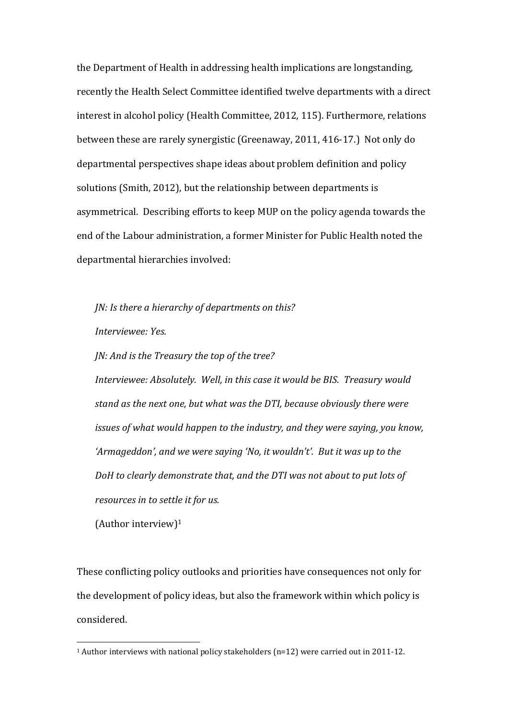the Department of Health in addressing health implications are longstanding, recently the Health Select Committee identified twelve departments with a direct interest in alcohol policy (Health Committee, 2012, 115). Furthermore, relations between these are rarely synergistic (Greenaway, 2011, 416-17.) Not only do departmental perspectives shape ideas about problem definition and policy solutions (Smith, 2012), but the relationship between departments is asymmetrical. Describing efforts to keep MUP on the policy agenda towards the end of the Labour administration, a former Minister for Public Health noted the departmental hierarchies involved:

*JN: Is there a hierarchy of departments on this?*

*Interviewee: Yes.*

*JN: And is the Treasury the top of the tree?*

*Interviewee: Absolutely. Well, in this case it would be BIS. Treasury would stand as the next one, but what was the DTI, because obviously there were issues of what would happen to the industry, and they were saying, you know, 'Armageddon', and we were saying 'No, it wouldn't'. But it was up to the DoH to clearly demonstrate that, and the DTI was not about to put lots of resources in to settle it for us.*

(Author interview)<sup>1</sup>

These conflicting policy outlooks and priorities have consequences not only for the development of policy ideas, but also the framework within which policy is considered.

<sup>1</sup> Author interviews with national policy stakeholders (n=12) were carried out in 2011-12.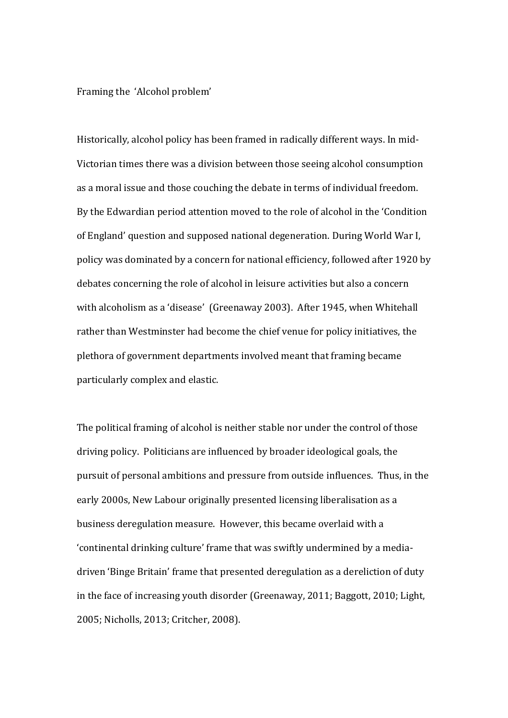#### Framing the 'Alcohol problem'

Historically, alcohol policy has been framed in radically different ways. In mid-Victorian times there was a division between those seeing alcohol consumption as a moral issue and those couching the debate in terms of individual freedom. By the Edwardian period attention moved to the role of alcohol in the 'Condition of England' question and supposed national degeneration. During World War I, policy was dominated by a concern for national efficiency, followed after 1920 by debates concerning the role of alcohol in leisure activities but also a concern with alcoholism as a 'disease' (Greenaway 2003). After 1945, when Whitehall rather than Westminster had become the chief venue for policy initiatives, the plethora of government departments involved meant that framing became particularly complex and elastic.

The political framing of alcohol is neither stable nor under the control of those driving policy. Politicians are influenced by broader ideological goals, the pursuit of personal ambitions and pressure from outside influences. Thus, in the early 2000s, New Labour originally presented licensing liberalisation as a business deregulation measure. However, this became overlaid with a 'continental drinking culture' frame that was swiftly undermined by a mediadriven 'Binge Britain' frame that presented deregulation as a dereliction of duty in the face of increasing youth disorder (Greenaway, 2011; Baggott, 2010; Light, 2005; Nicholls, 2013; Critcher, 2008).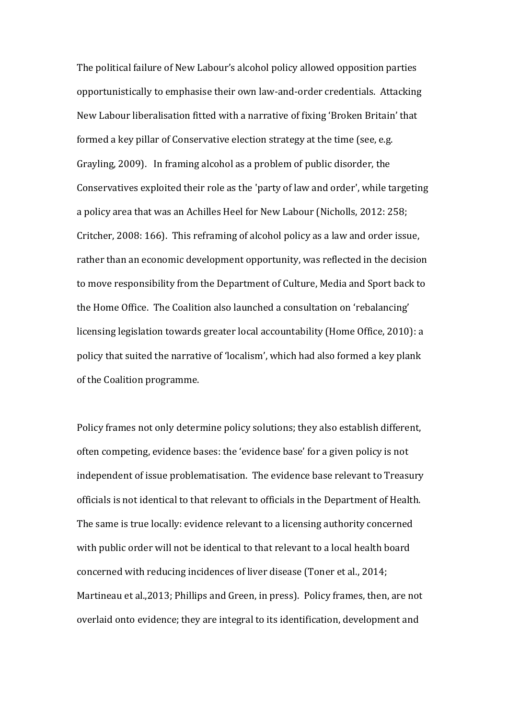The political failure of New Labour's alcohol policy allowed opposition parties opportunistically to emphasise their own law-and-order credentials. Attacking New Labour liberalisation fitted with a narrative of fixing 'Broken Britain' that formed a key pillar of Conservative election strategy at the time (see, e.g. Grayling, 2009). In framing alcohol as a problem of public disorder, the Conservatives exploited their role as the 'party of law and order', while targeting a policy area that was an Achilles Heel for New Labour (Nicholls, 2012: 258; Critcher, 2008: 166). This reframing of alcohol policy as a law and order issue, rather than an economic development opportunity, was reflected in the decision to move responsibility from the Department of Culture, Media and Sport back to the Home Office. The Coalition also launched a consultation on 'rebalancing' licensing legislation towards greater local accountability (Home Office, 2010): a policy that suited the narrative of 'localism', which had also formed a key plank of the Coalition programme.

Policy frames not only determine policy solutions; they also establish different, often competing, evidence bases: the 'evidence base' for a given policy is not independent of issue problematisation. The evidence base relevant to Treasury officials is not identical to that relevant to officials in the Department of Health. The same is true locally: evidence relevant to a licensing authority concerned with public order will not be identical to that relevant to a local health board concerned with reducing incidences of liver disease (Toner et al., 2014; Martineau et al.,2013; Phillips and Green, in press). Policy frames, then, are not overlaid onto evidence; they are integral to its identification, development and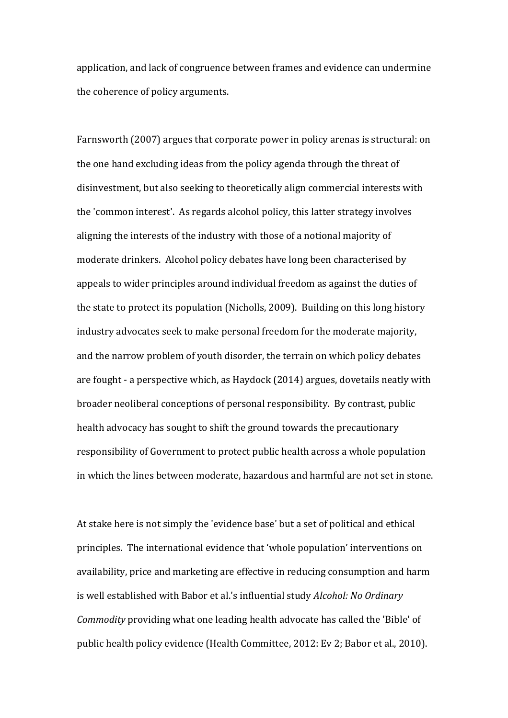application, and lack of congruence between frames and evidence can undermine the coherence of policy arguments.

Farnsworth (2007) argues that corporate power in policy arenas is structural: on the one hand excluding ideas from the policy agenda through the threat of disinvestment, but also seeking to theoretically align commercial interests with the 'common interest'. As regards alcohol policy, this latter strategy involves aligning the interests of the industry with those of a notional majority of moderate drinkers. Alcohol policy debates have long been characterised by appeals to wider principles around individual freedom as against the duties of the state to protect its population (Nicholls, 2009). Building on this long history industry advocates seek to make personal freedom for the moderate majority, and the narrow problem of youth disorder, the terrain on which policy debates are fought - a perspective which, as Haydock (2014) argues, dovetails neatly with broader neoliberal conceptions of personal responsibility. By contrast, public health advocacy has sought to shift the ground towards the precautionary responsibility of Government to protect public health across a whole population in which the lines between moderate, hazardous and harmful are not set in stone.

At stake here is not simply the 'evidence base' but a set of political and ethical principles. The international evidence that 'whole population' interventions on availability, price and marketing are effective in reducing consumption and harm is well established with Babor et al.'s influential study *Alcohol: No Ordinary Commodity* providing what one leading health advocate has called the 'Bible' of public health policy evidence (Health Committee, 2012: Ev 2; Babor et al., 2010).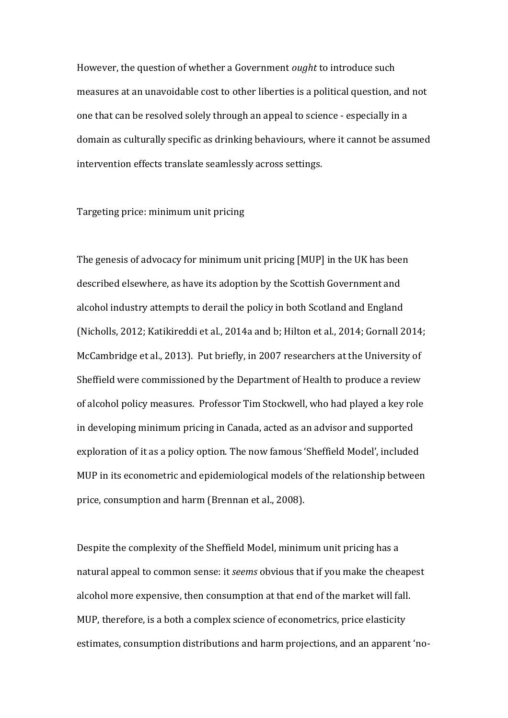However, the question of whether a Government *ought* to introduce such measures at an unavoidable cost to other liberties is a political question, and not one that can be resolved solely through an appeal to science - especially in a domain as culturally specific as drinking behaviours, where it cannot be assumed intervention effects translate seamlessly across settings.

## Targeting price: minimum unit pricing

The genesis of advocacy for minimum unit pricing [MUP] in the UK has been described elsewhere, as have its adoption by the Scottish Government and alcohol industry attempts to derail the policy in both Scotland and England (Nicholls, 2012; Katikireddi et al., 2014a and b; Hilton et al., 2014; Gornall 2014; McCambridge et al., 2013). Put briefly, in 2007 researchers at the University of Sheffield were commissioned by the Department of Health to produce a review of alcohol policy measures. Professor Tim Stockwell, who had played a key role in developing minimum pricing in Canada, acted as an advisor and supported exploration of it as a policy option. The now famous 'Sheffield Model', included MUP in its econometric and epidemiological models of the relationship between price, consumption and harm (Brennan et al., 2008).

Despite the complexity of the Sheffield Model, minimum unit pricing has a natural appeal to common sense: it *seems* obvious that if you make the cheapest alcohol more expensive, then consumption at that end of the market will fall. MUP, therefore, is a both a complex science of econometrics, price elasticity estimates, consumption distributions and harm projections, and an apparent 'no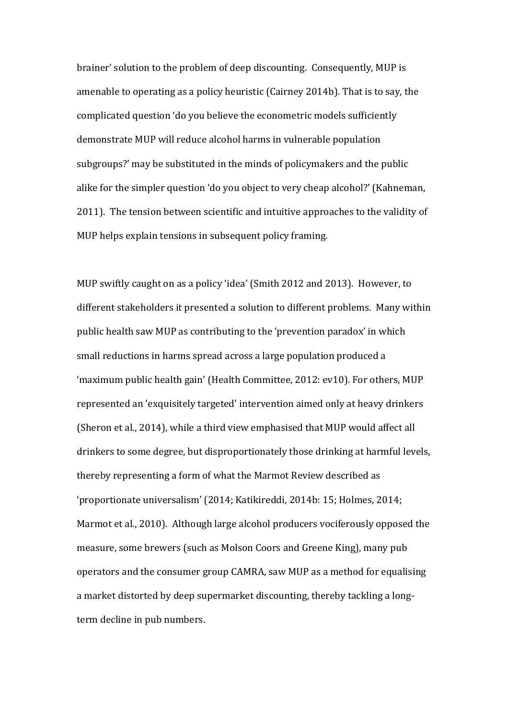brainer' solution to the problem of deep discounting. Consequently, MUP is amenable to operating as a policy heuristic (Cairney 2014b). That is to say, the complicated question 'do you believe the econometric models sufficiently demonstrate MUP will reduce alcohol harms in vulnerable population subgroups?' may be substituted in the minds of policymakers and the public alike for the simpler question 'do you object to very cheap alcohol?' (Kahneman, 2011). The tension between scientific and intuitive approaches to the validity of MUP helps explain tensions in subsequent policy framing.

MUP swiftly caught on as a policy 'idea' (Smith 2012 and 2013). However, to different stakeholders it presented a solution to different problems. Many within public health saw MUP as contributing to the 'prevention paradox' in which small reductions in harms spread across a large population produced a 'maximum public health gain' (Health Committee, 2012: ev10). For others, MUP represented an 'exquisitely targeted' intervention aimed only at heavy drinkers (Sheron et al., 2014), while a third view emphasised that MUP would affect all drinkers to some degree, but disproportionately those drinking at harmful levels, thereby representing a form of what the Marmot Review described as 'proportionate universalism' (2014; Katikireddi, 2014b: 15; Holmes, 2014; Marmot et al., 2010). Although large alcohol producers vociferously opposed the measure, some brewers (such as Molson Coors and Greene King), many pub operators and the consumer group CAMRA, saw MUP as a method for equalising a market distorted by deep supermarket discounting, thereby tackling a longterm decline in pub numbers.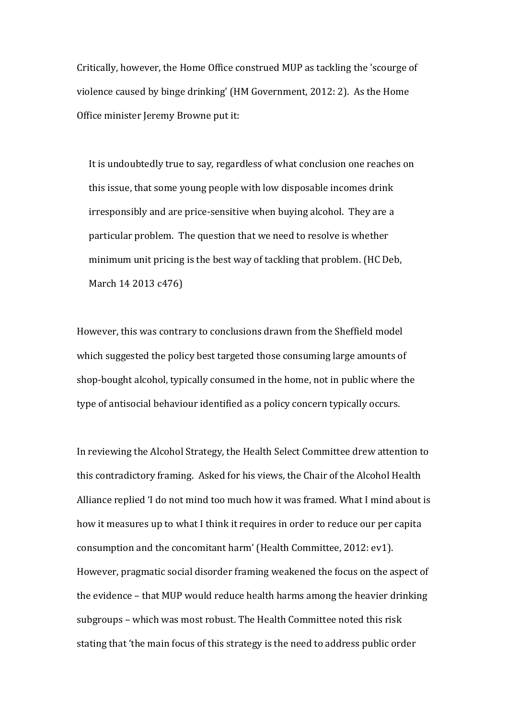Critically, however, the Home Office construed MUP as tackling the 'scourge of violence caused by binge drinking' (HM Government, 2012: 2). As the Home Office minister Jeremy Browne put it:

It is undoubtedly true to say, regardless of what conclusion one reaches on this issue, that some young people with low disposable incomes drink irresponsibly and are price-sensitive when buying alcohol. They are a particular problem. The question that we need to resolve is whether minimum unit pricing is the best way of tackling that problem. (HC Deb, March 14 2013 c476)

However, this was contrary to conclusions drawn from the Sheffield model which suggested the policy best targeted those consuming large amounts of shop-bought alcohol, typically consumed in the home, not in public where the type of antisocial behaviour identified as a policy concern typically occurs.

In reviewing the Alcohol Strategy, the Health Select Committee drew attention to this contradictory framing. Asked for his views, the Chair of the Alcohol Health Alliance replied 'I do not mind too much how it was framed. What I mind about is how it measures up to what I think it requires in order to reduce our per capita consumption and the concomitant harm' (Health Committee, 2012: ev1). However, pragmatic social disorder framing weakened the focus on the aspect of the evidence – that MUP would reduce health harms among the heavier drinking subgroups – which was most robust. The Health Committee noted this risk stating that 'the main focus of this strategy is the need to address public order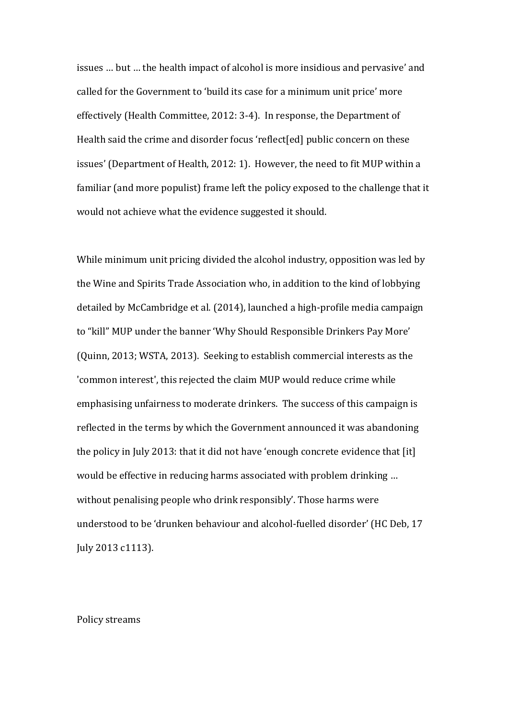issues … but … the health impact of alcohol is more insidious and pervasive' and called for the Government to 'build its case for a minimum unit price' more effectively (Health Committee, 2012: 3-4). In response, the Department of Health said the crime and disorder focus 'reflect[ed] public concern on these issues' (Department of Health, 2012: 1). However, the need to fit MUP within a familiar (and more populist) frame left the policy exposed to the challenge that it would not achieve what the evidence suggested it should.

While minimum unit pricing divided the alcohol industry, opposition was led by the Wine and Spirits Trade Association who, in addition to the kind of lobbying detailed by McCambridge et al. (2014), launched a high-profile media campaign to "kill" MUP under the banner 'Why Should Responsible Drinkers Pay More' (Quinn, 2013; WSTA, 2013). Seeking to establish commercial interests as the 'common interest', this rejected the claim MUP would reduce crime while emphasising unfairness to moderate drinkers. The success of this campaign is reflected in the terms by which the Government announced it was abandoning the policy in July 2013: that it did not have 'enough concrete evidence that [it] would be effective in reducing harms associated with problem drinking … without penalising people who drink responsibly'. Those harms were understood to be 'drunken behaviour and alcohol-fuelled disorder' (HC Deb, 17 July 2013 c1113).

Policy streams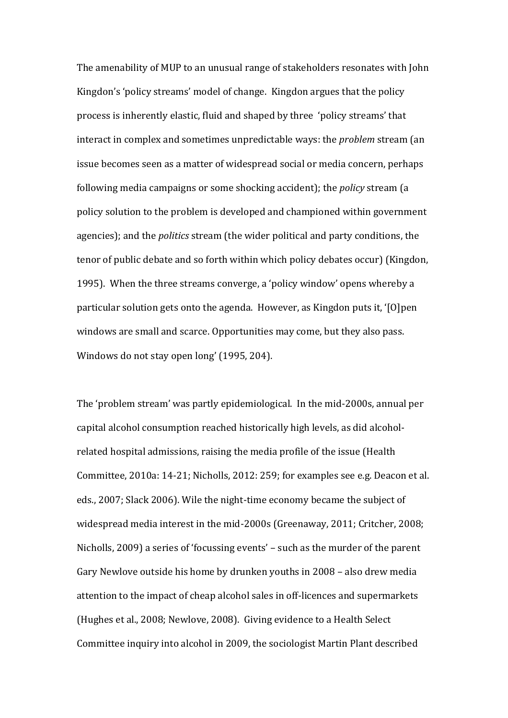The amenability of MUP to an unusual range of stakeholders resonates with John Kingdon's 'policy streams' model of change. Kingdon argues that the policy process is inherently elastic, fluid and shaped by three 'policy streams' that interact in complex and sometimes unpredictable ways: the *problem* stream (an issue becomes seen as a matter of widespread social or media concern, perhaps following media campaigns or some shocking accident); the *policy* stream (a policy solution to the problem is developed and championed within government agencies); and the *politics* stream (the wider political and party conditions, the tenor of public debate and so forth within which policy debates occur) (Kingdon, 1995). When the three streams converge, a 'policy window' opens whereby a particular solution gets onto the agenda. However, as Kingdon puts it, '[O]pen windows are small and scarce. Opportunities may come, but they also pass. Windows do not stay open long' (1995, 204).

The 'problem stream' was partly epidemiological. In the mid-2000s, annual per capital alcohol consumption reached historically high levels, as did alcoholrelated hospital admissions, raising the media profile of the issue (Health Committee, 2010a: 14-21; Nicholls, 2012: 259; for examples see e.g. Deacon et al. eds., 2007; Slack 2006). Wile the night-time economy became the subject of widespread media interest in the mid-2000s (Greenaway, 2011; Critcher, 2008; Nicholls, 2009) a series of 'focussing events' – such as the murder of the parent Gary Newlove outside his home by drunken youths in 2008 – also drew media attention to the impact of cheap alcohol sales in off-licences and supermarkets (Hughes et al., 2008; Newlove, 2008). Giving evidence to a Health Select Committee inquiry into alcohol in 2009, the sociologist Martin Plant described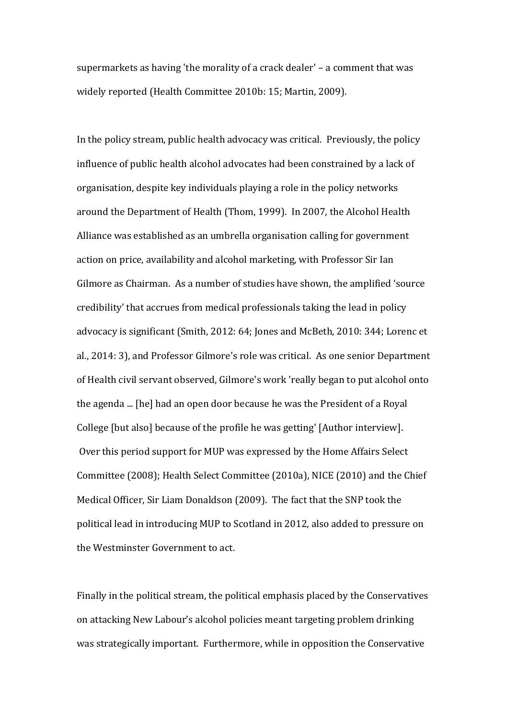supermarkets as having 'the morality of a crack dealer' – a comment that was widely reported (Health Committee 2010b: 15; Martin, 2009).

In the policy stream, public health advocacy was critical. Previously, the policy influence of public health alcohol advocates had been constrained by a lack of organisation, despite key individuals playing a role in the policy networks around the Department of Health (Thom, 1999). In 2007, the Alcohol Health Alliance was established as an umbrella organisation calling for government action on price, availability and alcohol marketing, with Professor Sir Ian Gilmore as Chairman. As a number of studies have shown, the amplified 'source credibility' that accrues from medical professionals taking the lead in policy advocacy is significant (Smith, 2012: 64; Jones and McBeth, 2010: 344; Lorenc et al., 2014: 3), and Professor Gilmore's role was critical. As one senior Department of Health civil servant observed, Gilmore's work 'really began to put alcohol onto the agenda ... [he] had an open door because he was the President of a Royal College [but also] because of the profile he was getting' [Author interview]. Over this period support for MUP was expressed by the Home Affairs Select Committee (2008); Health Select Committee (2010a), NICE (2010) and the Chief Medical Officer, Sir Liam Donaldson (2009). The fact that the SNP took the political lead in introducing MUP to Scotland in 2012, also added to pressure on the Westminster Government to act.

Finally in the political stream, the political emphasis placed by the Conservatives on attacking New Labour's alcohol policies meant targeting problem drinking was strategically important. Furthermore, while in opposition the Conservative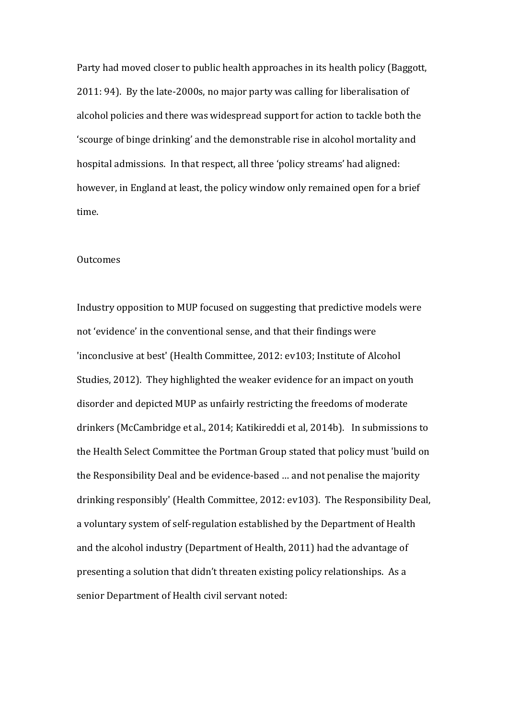Party had moved closer to public health approaches in its health policy (Baggott, 2011: 94). By the late-2000s, no major party was calling for liberalisation of alcohol policies and there was widespread support for action to tackle both the 'scourge of binge drinking' and the demonstrable rise in alcohol mortality and hospital admissions. In that respect, all three 'policy streams' had aligned: however, in England at least, the policy window only remained open for a brief time.

#### **Outcomes**

Industry opposition to MUP focused on suggesting that predictive models were not 'evidence' in the conventional sense, and that their findings were 'inconclusive at best' (Health Committee, 2012: ev103; Institute of Alcohol Studies, 2012). They highlighted the weaker evidence for an impact on youth disorder and depicted MUP as unfairly restricting the freedoms of moderate drinkers (McCambridge et al., 2014; Katikireddi et al, 2014b). In submissions to the Health Select Committee the Portman Group stated that policy must 'build on the Responsibility Deal and be evidence-based … and not penalise the majority drinking responsibly' (Health Committee, 2012: ev103). The Responsibility Deal, a voluntary system of self-regulation established by the Department of Health and the alcohol industry (Department of Health, 2011) had the advantage of presenting a solution that didn't threaten existing policy relationships. As a senior Department of Health civil servant noted: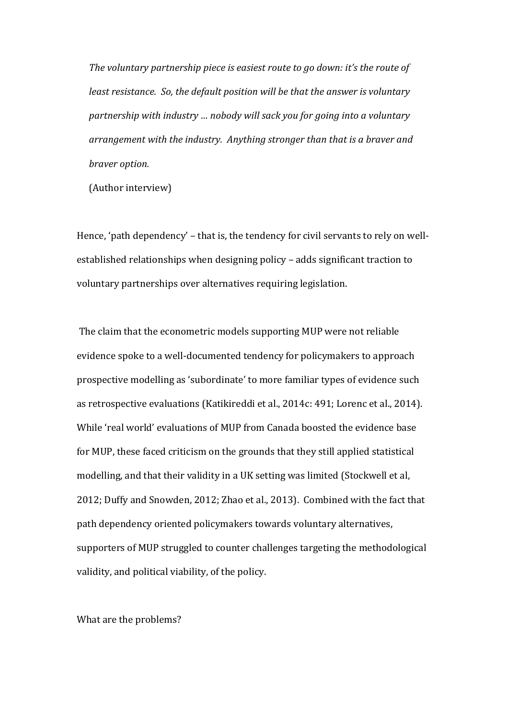*The voluntary partnership piece is easiest route to go down: it's the route of least resistance. So, the default position will be that the answer is voluntary partnership with industry … nobody will sack you for going into a voluntary arrangement with the industry. Anything stronger than that is a braver and braver option.*

(Author interview)

Hence, 'path dependency' – that is, the tendency for civil servants to rely on wellestablished relationships when designing policy – adds significant traction to voluntary partnerships over alternatives requiring legislation.

The claim that the econometric models supporting MUP were not reliable evidence spoke to a well-documented tendency for policymakers to approach prospective modelling as 'subordinate' to more familiar types of evidence such as retrospective evaluations (Katikireddi et al., 2014c: 491; Lorenc et al., 2014). While 'real world' evaluations of MUP from Canada boosted the evidence base for MUP, these faced criticism on the grounds that they still applied statistical modelling, and that their validity in a UK setting was limited (Stockwell et al, 2012; Duffy and Snowden, 2012; Zhao et al., 2013). Combined with the fact that path dependency oriented policymakers towards voluntary alternatives, supporters of MUP struggled to counter challenges targeting the methodological validity, and political viability, of the policy.

What are the problems?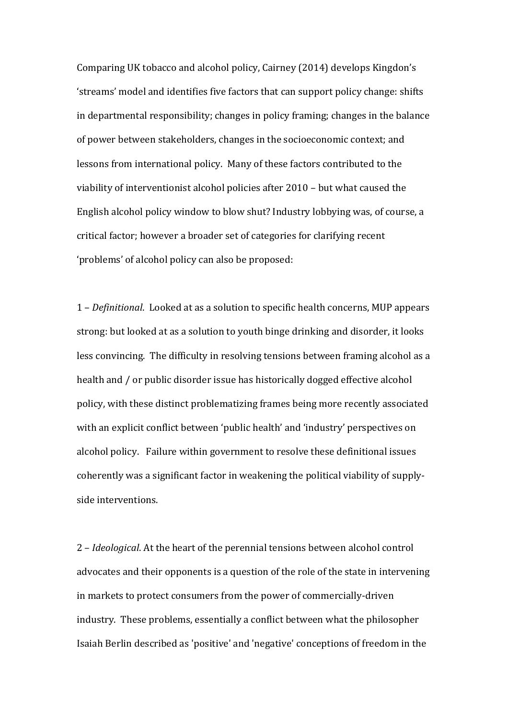Comparing UK tobacco and alcohol policy, Cairney (2014) develops Kingdon's 'streams' model and identifies five factors that can support policy change: shifts in departmental responsibility; changes in policy framing; changes in the balance of power between stakeholders, changes in the socioeconomic context; and lessons from international policy. Many of these factors contributed to the viability of interventionist alcohol policies after 2010 – but what caused the English alcohol policy window to blow shut? Industry lobbying was, of course, a critical factor; however a broader set of categories for clarifying recent 'problems' of alcohol policy can also be proposed:

1 – *Definitional*. Looked at as a solution to specific health concerns, MUP appears strong: but looked at as a solution to youth binge drinking and disorder, it looks less convincing. The difficulty in resolving tensions between framing alcohol as a health and / or public disorder issue has historically dogged effective alcohol policy, with these distinct problematizing frames being more recently associated with an explicit conflict between 'public health' and 'industry' perspectives on alcohol policy. Failure within government to resolve these definitional issues coherently was a significant factor in weakening the political viability of supplyside interventions.

2 – *Ideological*. At the heart of the perennial tensions between alcohol control advocates and their opponents is a question of the role of the state in intervening in markets to protect consumers from the power of commercially-driven industry. These problems, essentially a conflict between what the philosopher Isaiah Berlin described as 'positive' and 'negative' conceptions of freedom in the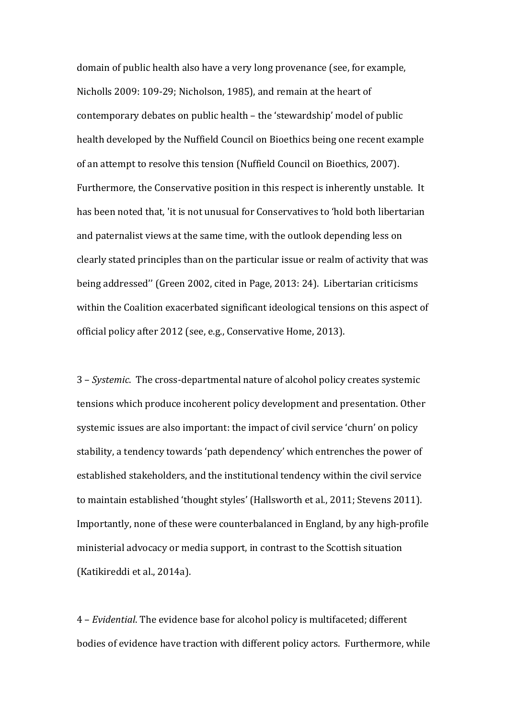domain of public health also have a very long provenance (see, for example, Nicholls 2009: 109-29; Nicholson, 1985), and remain at the heart of contemporary debates on public health – the 'stewardship' model of public health developed by the Nuffield Council on Bioethics being one recent example of an attempt to resolve this tension (Nuffield Council on Bioethics, 2007). Furthermore, the Conservative position in this respect is inherently unstable. It has been noted that, 'it is not unusual for Conservatives to 'hold both libertarian and paternalist views at the same time, with the outlook depending less on clearly stated principles than on the particular issue or realm of activity that was being addressed'' (Green 2002, cited in Page, 2013: 24). Libertarian criticisms within the Coalition exacerbated significant ideological tensions on this aspect of official policy after 2012 (see, e.g., Conservative Home, 2013).

3 – *Systemic*. The cross-departmental nature of alcohol policy creates systemic tensions which produce incoherent policy development and presentation. Other systemic issues are also important: the impact of civil service 'churn' on policy stability, a tendency towards 'path dependency' which entrenches the power of established stakeholders, and the institutional tendency within the civil service to maintain established 'thought styles' (Hallsworth et al., 2011; Stevens 2011). Importantly, none of these were counterbalanced in England, by any high-profile ministerial advocacy or media support, in contrast to the Scottish situation (Katikireddi et al., 2014a).

4 – *Evidential*. The evidence base for alcohol policy is multifaceted; different bodies of evidence have traction with different policy actors. Furthermore, while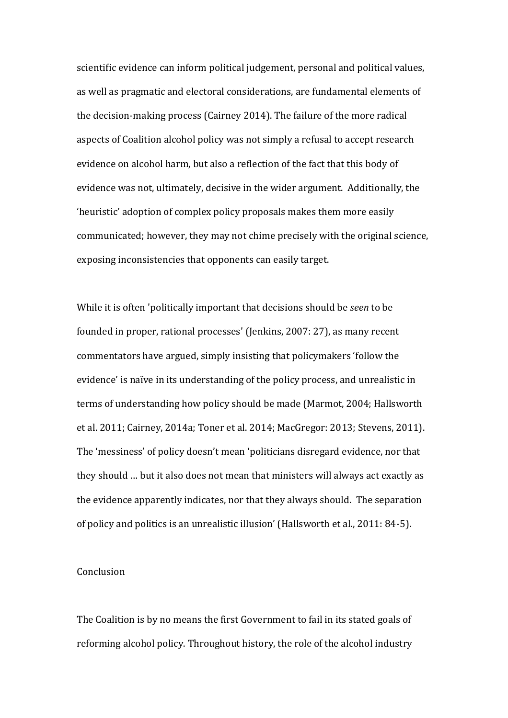scientific evidence can inform political judgement, personal and political values, as well as pragmatic and electoral considerations, are fundamental elements of the decision-making process (Cairney 2014). The failure of the more radical aspects of Coalition alcohol policy was not simply a refusal to accept research evidence on alcohol harm, but also a reflection of the fact that this body of evidence was not, ultimately, decisive in the wider argument. Additionally, the 'heuristic' adoption of complex policy proposals makes them more easily communicated; however, they may not chime precisely with the original science, exposing inconsistencies that opponents can easily target.

While it is often 'politically important that decisions should be *seen* to be founded in proper, rational processes' (Jenkins, 2007: 27), as many recent commentators have argued, simply insisting that policymakers 'follow the evidence' is naïve in its understanding of the policy process, and unrealistic in terms of understanding how policy should be made (Marmot, 2004; Hallsworth et al. 2011; Cairney, 2014a; Toner et al. 2014; MacGregor: 2013; Stevens, 2011). The 'messiness' of policy doesn't mean 'politicians disregard evidence, nor that they should … but it also does not mean that ministers will always act exactly as the evidence apparently indicates, nor that they always should. The separation of policy and politics is an unrealistic illusion' (Hallsworth et al., 2011: 84-5).

### **Conclusion**

The Coalition is by no means the first Government to fail in its stated goals of reforming alcohol policy. Throughout history, the role of the alcohol industry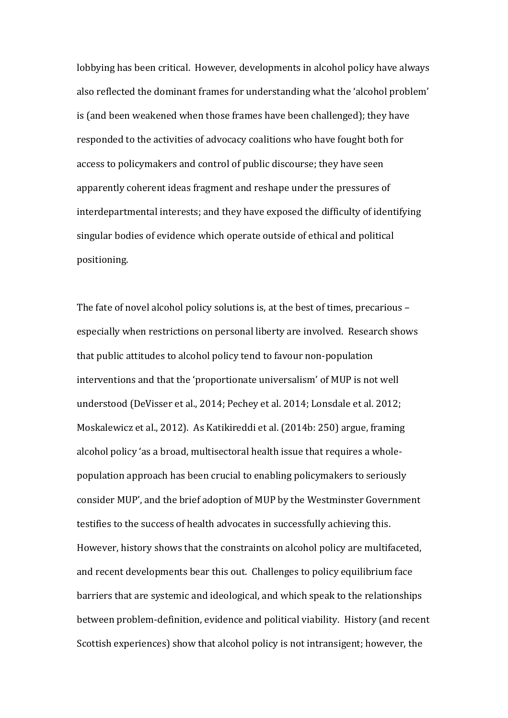lobbying has been critical. However, developments in alcohol policy have always also reflected the dominant frames for understanding what the 'alcohol problem' is (and been weakened when those frames have been challenged); they have responded to the activities of advocacy coalitions who have fought both for access to policymakers and control of public discourse; they have seen apparently coherent ideas fragment and reshape under the pressures of interdepartmental interests; and they have exposed the difficulty of identifying singular bodies of evidence which operate outside of ethical and political positioning.

The fate of novel alcohol policy solutions is, at the best of times, precarious – especially when restrictions on personal liberty are involved. Research shows that public attitudes to alcohol policy tend to favour non-population interventions and that the 'proportionate universalism' of MUP is not well understood (DeVisser et al., 2014; Pechey et al. 2014; Lonsdale et al. 2012; Moskalewicz et al., 2012). As Katikireddi et al. (2014b: 250) argue, framing alcohol policy 'as a broad, multisectoral health issue that requires a wholepopulation approach has been crucial to enabling policymakers to seriously consider MUP', and the brief adoption of MUP by the Westminster Government testifies to the success of health advocates in successfully achieving this. However, history shows that the constraints on alcohol policy are multifaceted, and recent developments bear this out. Challenges to policy equilibrium face barriers that are systemic and ideological, and which speak to the relationships between problem-definition, evidence and political viability. History (and recent Scottish experiences) show that alcohol policy is not intransigent; however, the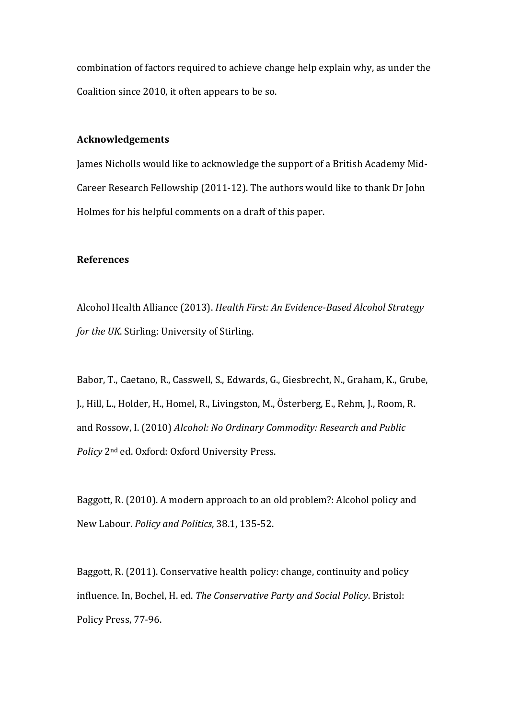combination of factors required to achieve change help explain why, as under the Coalition since 2010, it often appears to be so.

## **Acknowledgements**

James Nicholls would like to acknowledge the support of a British Academy Mid-Career Research Fellowship (2011-12). The authors would like to thank Dr John Holmes for his helpful comments on a draft of this paper.

## **References**

Alcohol Health Alliance (2013). *Health First: An Evidence-Based Alcohol Strategy for the UK*. Stirling: University of Stirling.

Babor, T., Caetano, R., Casswell, S., Edwards, G., Giesbrecht, N., Graham, K., Grube, J., Hill, L., Holder, H., Homel, R., Livingston, M., Österberg, E., Rehm, J., Room, R. and Rossow, I. (2010) *Alcohol: No Ordinary Commodity: Research and Public Policy* 2nd ed. Oxford: Oxford University Press.

Baggott, R. (2010). A modern approach to an old problem?: Alcohol policy and New Labour. *Policy and Politics*, 38.1, 135-52.

Baggott, R. (2011). Conservative health policy: change, continuity and policy influence. In, Bochel, H. ed. *The Conservative Party and Social Policy*. Bristol: Policy Press, 77-96.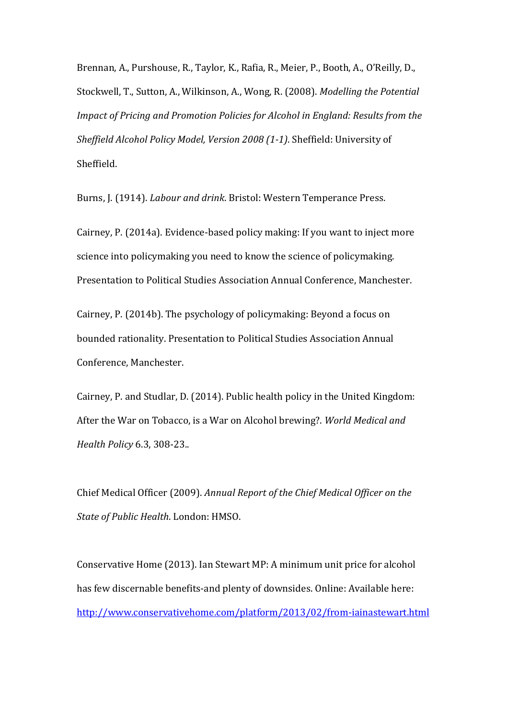Brennan, A., Purshouse, R., Taylor, K., Rafia, R., Meier, P., Booth, A., O'Reilly, D., Stockwell, T., Sutton, A., Wilkinson, A., Wong, R. (2008). *Modelling the Potential Impact of Pricing and Promotion Policies for Alcohol in England: Results from the Sheffield Alcohol Policy Model, Version 2008 (1-1)*. Sheffield: University of Sheffield.

Burns, J. (1914). *Labour and drink*. Bristol: Western Temperance Press.

Cairney, P. (2014a). Evidence-based policy making: If you want to inject more science into policymaking you need to know the science of policymaking. Presentation to Political Studies Association Annual Conference, Manchester.

Cairney, P. (2014b). The psychology of policymaking: Beyond a focus on bounded rationality. Presentation to Political Studies Association Annual Conference, Manchester.

Cairney, P. and Studlar, D. (2014). Public health policy in the United Kingdom: After the War on Tobacco, is a War on Alcohol brewing?. *World Medical and Health Policy* 6.3, 308-23..

Chief Medical Officer (2009). *Annual Report of the Chief Medical Officer on the State of Public Health*. London: HMSO.

Conservative Home (2013). Ian Stewart MP: A minimum unit price for alcohol has few discernable benefits-and plenty of downsides. Online: Available here: <http://www.conservativehome.com/platform/2013/02/from-iainastewart.html>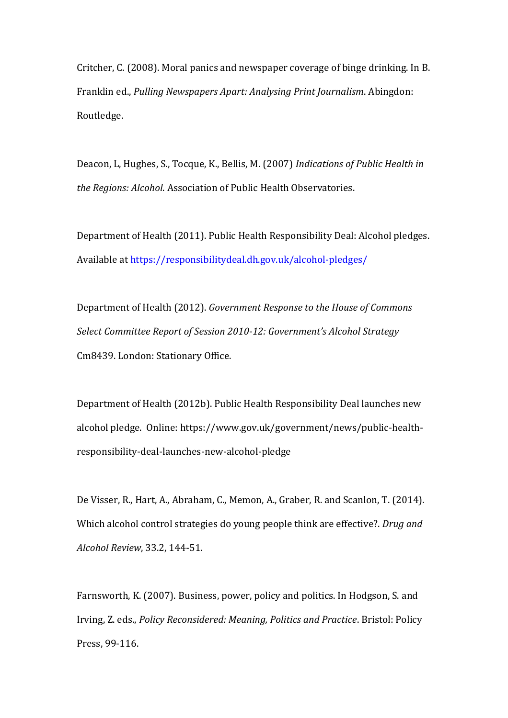Critcher, C. (2008). Moral panics and newspaper coverage of binge drinking. In B. Franklin ed., *Pulling Newspapers Apart: Analysing Print Journalism*. Abingdon: Routledge.

Deacon, L, Hughes, S., Tocque, K., Bellis, M. (2007) *Indications of Public Health in the Regions: Alcohol*. Association of Public Health Observatories.

Department of Health (2011). Public Health Responsibility Deal: Alcohol pledges. Available a[t https://responsibilitydeal.dh.gov.uk/alcohol-pledges/](https://responsibilitydeal.dh.gov.uk/alcohol-pledges/)

Department of Health (2012). *Government Response to the House of Commons Select Committee Report of Session 2010-12: Government's Alcohol Strategy* Cm8439. London: Stationary Office.

Department of Health (2012b). Public Health Responsibility Deal launches new alcohol pledge. Online: https://www.gov.uk/government/news/public-healthresponsibility-deal-launches-new-alcohol-pledge

De Visser, R., Hart, A., Abraham, C., Memon, A., Graber, R. and Scanlon, T. (2014). Which alcohol control strategies do young people think are effective?. *Drug and Alcohol Review*, 33.2, 144-51.

Farnsworth, K. (2007). Business, power, policy and politics. In Hodgson, S. and Irving, Z. eds., *Policy Reconsidered: Meaning, Politics and Practice*. Bristol: Policy Press, 99-116.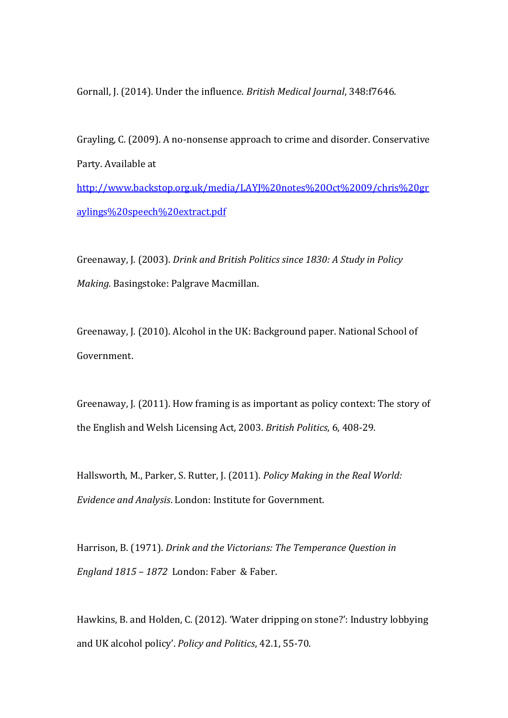Gornall, J. (2014). Under the influence. *British Medical Journal*, 348:f7646.

Grayling, C. (2009). A no-nonsense approach to crime and disorder. Conservative Party. Available at [http://www.backstop.org.uk/media/LAYJ%20notes%20Oct%2009/chris%20gr](http://www.backstop.org.uk/media/LAYJ%20notes%20Oct%2009/chris%20graylings%20speech%20extract.pdf)

[aylings%20speech%20extract.pdf](http://www.backstop.org.uk/media/LAYJ%20notes%20Oct%2009/chris%20graylings%20speech%20extract.pdf)

Greenaway, J. (2003). *Drink and British Politics since 1830: A Study in Policy Making.* Basingstoke: Palgrave Macmillan.

Greenaway, J. (2010). Alcohol in the UK: Background paper. National School of Government.

Greenaway, J. (2011). How framing is as important as policy context: The story of the English and Welsh Licensing Act, 2003. *British Politics*, 6, 408-29.

Hallsworth, M., Parker, S. Rutter, J. (2011). *Policy Making in the Real World: Evidence and Analysis*. London: Institute for Government.

Harrison, B. (1971). *Drink and the Victorians: The Temperance Question in England 1815 – 1872* London: Faber & Faber.

Hawkins, B. and Holden, C. (2012). 'Water dripping on stone?': Industry lobbying and UK alcohol policy'. *Policy and Politics*, 42.1, 55-70.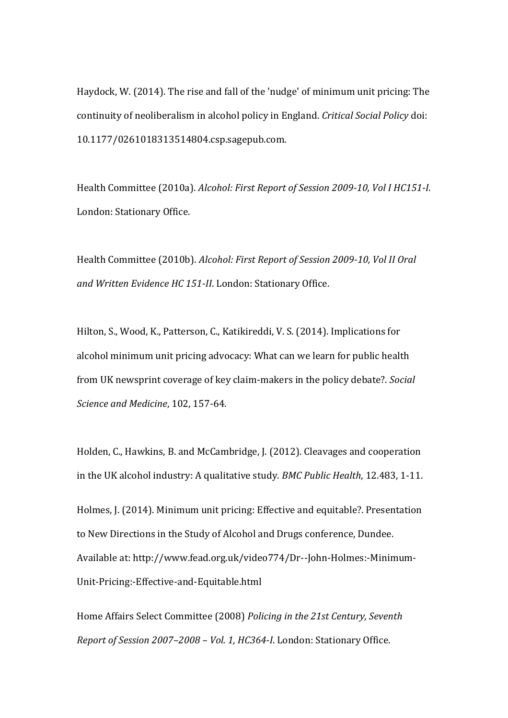Haydock, W. (2014). The rise and fall of the 'nudge' of minimum unit pricing: The continuity of neoliberalism in alcohol policy in England. *Critical Social Policy* doi: 10.1177/0261018313514804.csp.sagepub.com.

Health Committee (2010a). *Alcohol: First Report of Session 2009-10, Vol I HC151-I*. London: Stationary Office.

Health Committee (2010b). *Alcohol: First Report of Session 2009-10, Vol II Oral and Written Evidence HC 151-II*. London: Stationary Office.

Hilton, S., Wood, K., Patterson, C., Katikireddi, V. S. (2014). Implications for alcohol minimum unit pricing advocacy: What can we learn for public health from UK newsprint coverage of key claim-makers in the policy debate?. *Social Science and Medicine*, 102, 157-64.

Holden, C., Hawkins, B. and McCambridge, J. (2012). Cleavages and cooperation in the UK alcohol industry: A qualitative study. *BMC Public Health*, 12.483, 1-11.

Holmes, J. (2014). Minimum unit pricing: Effective and equitable?. Presentation to New Directions in the Study of Alcohol and Drugs conference, Dundee. Available at: http://www.fead.org.uk/video774/Dr--John-Holmes:-Minimum-Unit-Pricing:-Effective-and-Equitable.html

Home Affairs Select Committee (2008) *Policing in the 21st Century, Seventh Report of Session 2007–2008 – Vol. 1, HC364-I*. London: Stationary Office.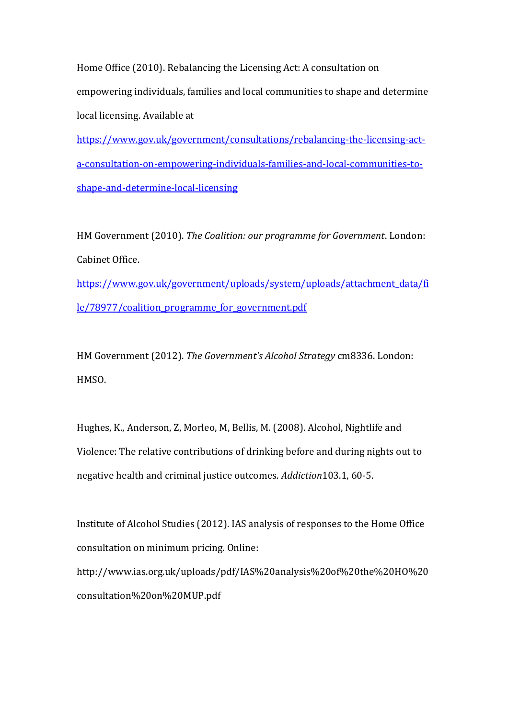Home Office (2010). Rebalancing the Licensing Act: A consultation on empowering individuals, families and local communities to shape and determine local licensing. Available at

[https://www.gov.uk/government/consultations/rebalancing-the-licensing-act](https://www.gov.uk/government/consultations/rebalancing-the-licensing-act-a-consultation-on-empowering-individuals-families-and-local-communities-to-shape-and-determine-local-licensing)[a-consultation-on-empowering-individuals-families-and-local-communities-to](https://www.gov.uk/government/consultations/rebalancing-the-licensing-act-a-consultation-on-empowering-individuals-families-and-local-communities-to-shape-and-determine-local-licensing)[shape-and-determine-local-licensing](https://www.gov.uk/government/consultations/rebalancing-the-licensing-act-a-consultation-on-empowering-individuals-families-and-local-communities-to-shape-and-determine-local-licensing)

HM Government (2010). *The Coalition: our programme for Government*. London: Cabinet Office. [https://www.gov.uk/government/uploads/system/uploads/attachment\\_data/fi](https://www.gov.uk/government/uploads/system/uploads/attachment_data/file/78977/coalition_programme_for_government.pdf)

[le/78977/coalition\\_programme\\_for\\_government.pdf](https://www.gov.uk/government/uploads/system/uploads/attachment_data/file/78977/coalition_programme_for_government.pdf)

HM Government (2012). *The Government's Alcohol Strategy* cm8336. London: HMSO.

Hughes, K., Anderson, Z, Morleo, M, Bellis, M. (2008). Alcohol, Nightlife and Violence: The relative contributions of drinking before and during nights out to negative health and criminal justice outcomes. *Addiction*103.1, 60-5.

Institute of Alcohol Studies (2012). IAS analysis of responses to the Home Office consultation on minimum pricing. Online:

http://www.ias.org.uk/uploads/pdf/IAS%20analysis%20of%20the%20HO%20 consultation%20on%20MUP.pdf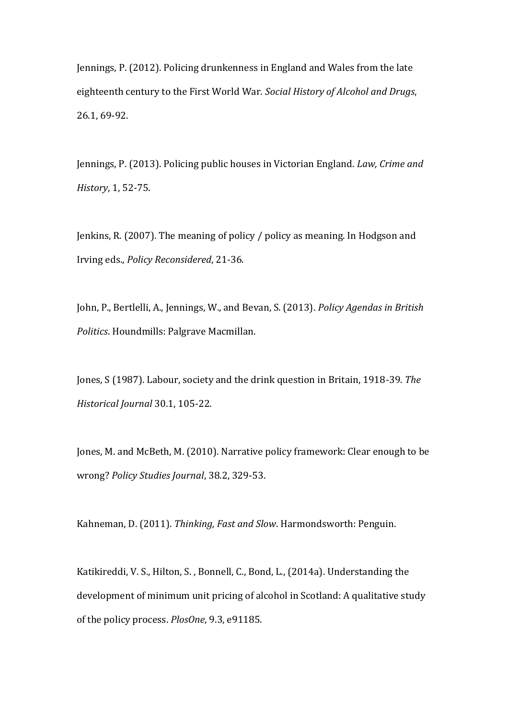Jennings, P. (2012). Policing drunkenness in England and Wales from the late eighteenth century to the First World War. *Social History of Alcohol and Drugs*, 26.1, 69-92.

Jennings, P. (2013). Policing public houses in Victorian England. *Law, Crime and History*, 1, 52-75.

Jenkins, R. (2007). The meaning of policy / policy as meaning. In Hodgson and Irving eds., *Policy Reconsidered*, 21-36.

John, P., Bertlelli, A., Jennings, W., and Bevan, S. (2013). *Policy Agendas in British Politics*. Houndmills: Palgrave Macmillan.

Jones, S (1987). Labour, society and the drink question in Britain, 1918-39. *The Historical Journal* 30.1, 105-22.

Jones, M. and McBeth, M. (2010). Narrative policy framework: Clear enough to be wrong? *Policy Studies Journal*, 38.2, 329-53.

Kahneman, D. (2011). *Thinking, Fast and Slow*. Harmondsworth: Penguin.

Katikireddi, V. S., Hilton, S. , Bonnell, C., Bond, L., (2014a). Understanding the development of minimum unit pricing of alcohol in Scotland: A qualitative study of the policy process. *PlosOne*, 9.3, e91185.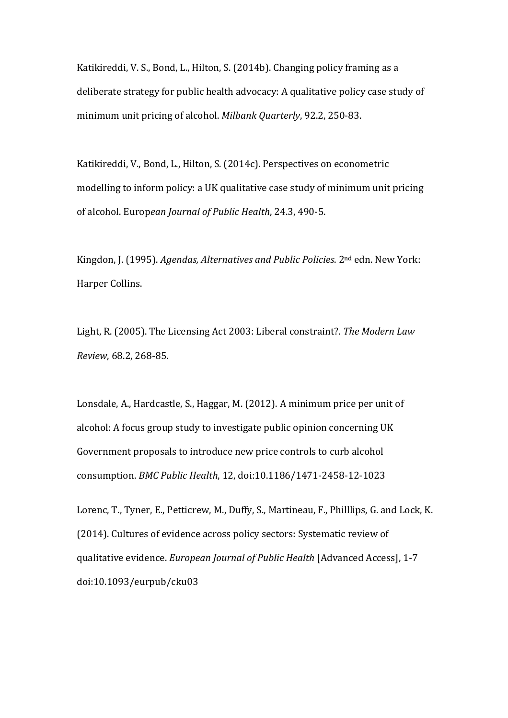Katikireddi, V. S., Bond, L., Hilton, S. (2014b). Changing policy framing as a deliberate strategy for public health advocacy: A qualitative policy case study of minimum unit pricing of alcohol. *Milbank Quarterly*, 92.2, 250-83.

Katikireddi, V., Bond, L., Hilton, S. (2014c). Perspectives on econometric modelling to inform policy: a UK qualitative case study of minimum unit pricing of alcohol. Europ*ean Journal of Public Health*, 24.3, 490-5.

Kingdon, J. (1995). *Agendas, Alternatives and Public Policies*. 2nd edn. New York: Harper Collins.

Light, R. (2005). The Licensing Act 2003: Liberal constraint?. *The Modern Law Review*, 68.2, 268-85.

Lonsdale, A., Hardcastle, S., Haggar, M. (2012). A minimum price per unit of alcohol: A focus group study to investigate public opinion concerning UK Government proposals to introduce new price controls to curb alcohol consumption. *BMC Public Health*, 12, doi:10.1186/1471-2458-12-1023

Lorenc, T., Tyner, E., Petticrew, M., Duffy, S., Martineau, F., Philllips, G. and Lock, K. (2014). Cultures of evidence across policy sectors: Systematic review of qualitative evidence. *European Journal of Public Health* [Advanced Access], 1-7 doi:10.1093/eurpub/cku03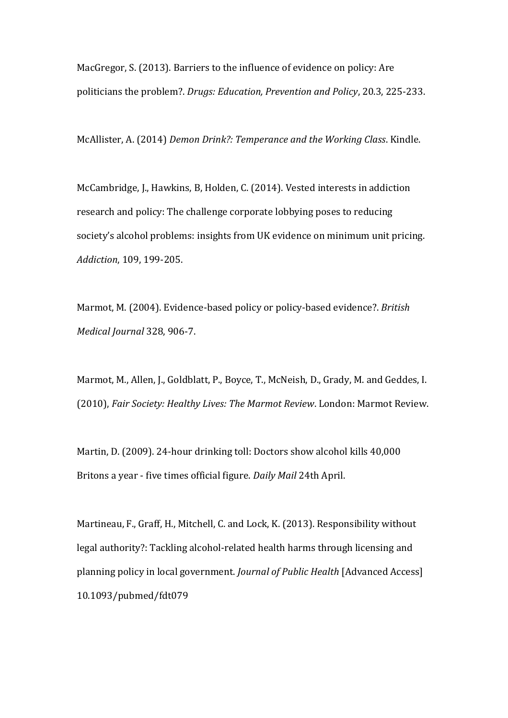MacGregor, S. (2013). Barriers to the influence of evidence on policy: Are politicians the problem?. *Drugs: Education, Prevention and Policy*, 20.3, 225-233.

McAllister, A. (2014) *Demon Drink?: Temperance and the Working Class*. Kindle.

McCambridge, J., Hawkins, B, Holden, C. (2014). Vested interests in addiction research and policy: The challenge corporate lobbying poses to reducing society's alcohol problems: insights from UK evidence on minimum unit pricing. *Addiction*, 109, 199-205.

Marmot, M. (2004). Evidence-based policy or policy-based evidence?. *British Medical Journal* 328, 906-7.

Marmot, M., Allen, J., Goldblatt, P., Boyce, T., McNeish, D., Grady, M. and Geddes, I. (2010), *Fair Society: Healthy Lives: The Marmot Review*. London: Marmot Review.

Martin, D. (2009). 24-hour drinking toll: Doctors show alcohol kills 40,000 Britons a year - five times official figure. *Daily Mail* 24th April.

Martineau, F., Graff, H., Mitchell, C. and Lock, K. (2013). Responsibility without legal authority?: Tackling alcohol-related health harms through licensing and planning policy in local government. *Journal of Public Health* [Advanced Access] 10.1093/pubmed/fdt079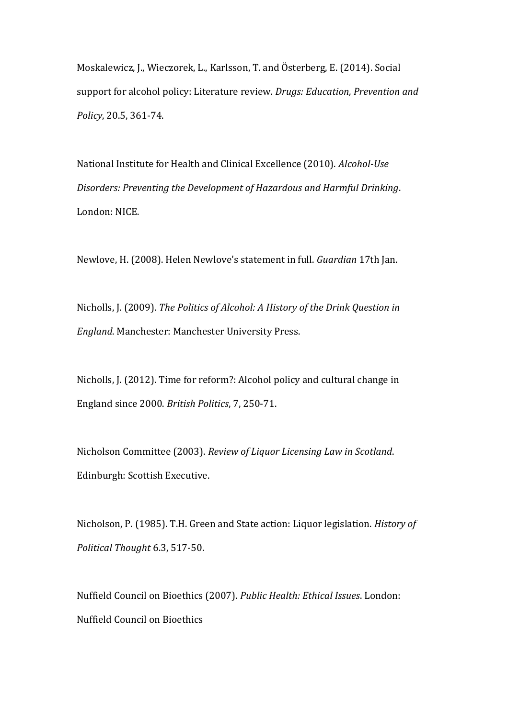Moskalewicz, J., Wieczorek, L., Karlsson, T. and Österberg, E. (2014). Social support for alcohol policy: Literature review. *Drugs: Education, Prevention and Policy*, 20.5, 361-74.

National Institute for Health and Clinical Excellence (2010). *Alcohol-Use Disorders: Preventing the Development of Hazardous and Harmful Drinking*. London: NICE.

Newlove, H. (2008). Helen Newlove's statement in full. *Guardian* 17th Jan.

Nicholls, J. (2009). *The Politics of Alcohol: A History of the Drink Question in England*. Manchester: Manchester University Press.

Nicholls, J. (2012). Time for reform?: Alcohol policy and cultural change in England since 2000. *British Politics*, 7, 250-71.

Nicholson Committee (2003). *Review of Liquor Licensing Law in Scotland*. Edinburgh: Scottish Executive.

Nicholson, P. (1985). T.H. Green and State action: Liquor legislation. *History of Political Thought* 6.3, 517-50.

Nuffield Council on Bioethics (2007). *Public Health: Ethical Issues*. London: Nuffield Council on Bioethics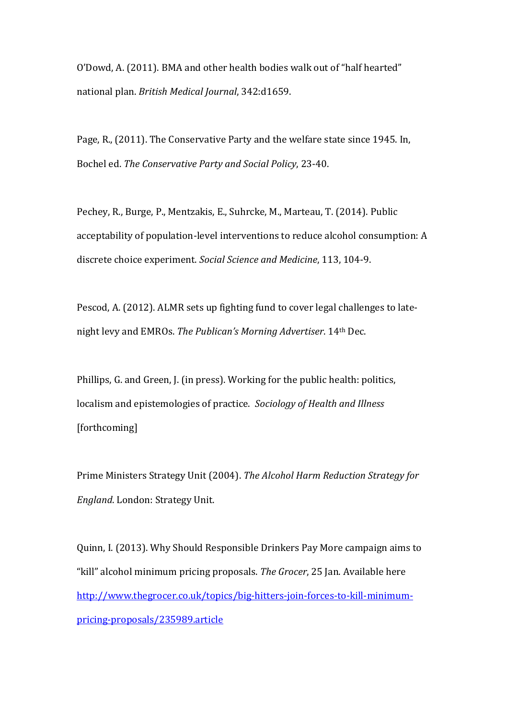O'Dowd, A. (2011). BMA and other health bodies walk out of "half hearted" national plan. *British Medical Journal*, 342:d1659.

Page, R., (2011). The Conservative Party and the welfare state since 1945. In, Bochel ed. *The Conservative Party and Social Policy*, 23-40.

Pechey, R., Burge, P., Mentzakis, E., Suhrcke, M., Marteau, T. (2014). Public acceptability of population-level interventions to reduce alcohol consumption: A discrete choice experiment. *Social Science and Medicine*, 113, 104-9.

Pescod, A. (2012). ALMR sets up fighting fund to cover legal challenges to latenight levy and EMROs. *The Publican's Morning Advertiser*. 14th Dec.

Phillips, G. and Green, J. (in press). Working for the public health: politics, localism and epistemologies of practice. *Sociology of Health and Illness* [forthcoming]

Prime Ministers Strategy Unit (2004). *The Alcohol Harm Reduction Strategy for England*. London: Strategy Unit.

Quinn, I. (2013). Why Should Responsible Drinkers Pay More campaign aims to "kill" alcohol minimum pricing proposals. *The Grocer*, 25 Jan. Available here [http://www.thegrocer.co.uk/topics/big-hitters-join-forces-to-kill-minimum](http://www.thegrocer.co.uk/topics/big-hitters-join-forces-to-kill-minimum-pricing-proposals/235989.article)[pricing-proposals/235989.article](http://www.thegrocer.co.uk/topics/big-hitters-join-forces-to-kill-minimum-pricing-proposals/235989.article)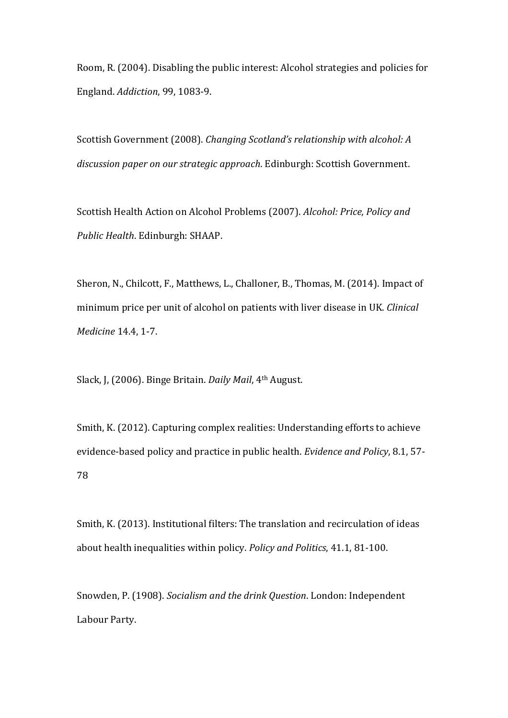Room, R. (2004). Disabling the public interest: Alcohol strategies and policies for England. *Addiction*, 99, 1083-9.

Scottish Government (2008). *Changing Scotland's relationship with alcohol: A discussion paper on our strategic approach*. Edinburgh: Scottish Government.

Scottish Health Action on Alcohol Problems (2007). *Alcohol: Price, Policy and Public Health*. Edinburgh: SHAAP.

Sheron, N., Chilcott, F., Matthews, L., Challoner, B., Thomas, M. (2014). Impact of minimum price per unit of alcohol on patients with liver disease in UK. *Clinical Medicine* 14.4, 1-7.

Slack, J, (2006). Binge Britain. *Daily Mail*, 4th August.

Smith, K. (2012). Capturing complex realities: Understanding efforts to achieve evidence-based policy and practice in public health. *Evidence and Policy*, 8.1, 57- 78

Smith, K. (2013). Institutional filters: The translation and recirculation of ideas about health inequalities within policy. *Policy and Politics*, 41.1, 81-100.

Snowden, P. (1908). *Socialism and the drink Question*. London: Independent Labour Party.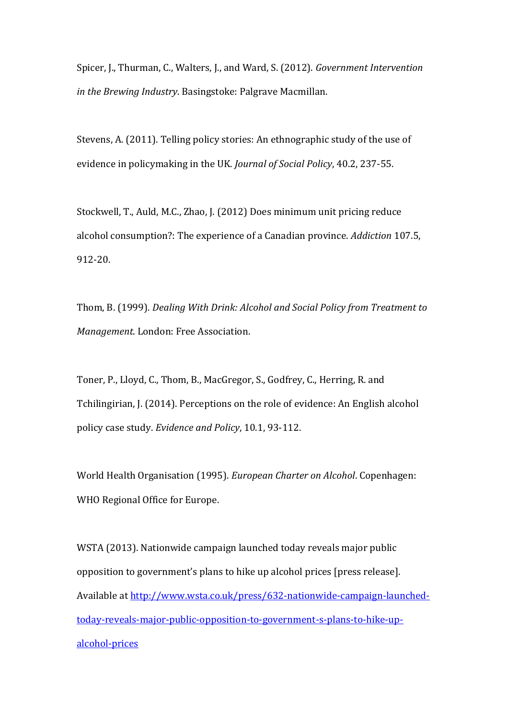Spicer, J., Thurman, C., Walters, J., and Ward, S. (2012). *Government Intervention in the Brewing Industry*. Basingstoke: Palgrave Macmillan.

Stevens, A. (2011). Telling policy stories: An ethnographic study of the use of evidence in policymaking in the UK. *Journal of Social Policy*, 40.2, 237-55.

Stockwell, T., Auld, M.C., Zhao, J. (2012) Does minimum unit pricing reduce alcohol consumption?: The experience of a Canadian province. *Addiction* 107.5, 912-20.

Thom, B. (1999). *Dealing With Drink: Alcohol and Social Policy from Treatment to Management*. London: Free Association.

Toner, P., Lloyd, C., Thom, B., MacGregor, S., Godfrey, C., Herring, R. and Tchilingirian, J. (2014). Perceptions on the role of evidence: An English alcohol policy case study. *Evidence and Policy*, 10.1, 93-112.

World Health Organisation (1995). *European Charter on Alcohol*. Copenhagen: WHO Regional Office for Europe.

WSTA (2013). Nationwide campaign launched today reveals major public opposition to government's plans to hike up alcohol prices [press release]. Available a[t http://www.wsta.co.uk/press/632-nationwide-campaign-launched](http://www.wsta.co.uk/press/632-nationwide-campaign-launched-today-reveals-major-public-opposition-to-government-s-plans-to-hike-up-alcohol-prices)[today-reveals-major-public-opposition-to-government-s-plans-to-hike-up](http://www.wsta.co.uk/press/632-nationwide-campaign-launched-today-reveals-major-public-opposition-to-government-s-plans-to-hike-up-alcohol-prices)[alcohol-prices](http://www.wsta.co.uk/press/632-nationwide-campaign-launched-today-reveals-major-public-opposition-to-government-s-plans-to-hike-up-alcohol-prices)